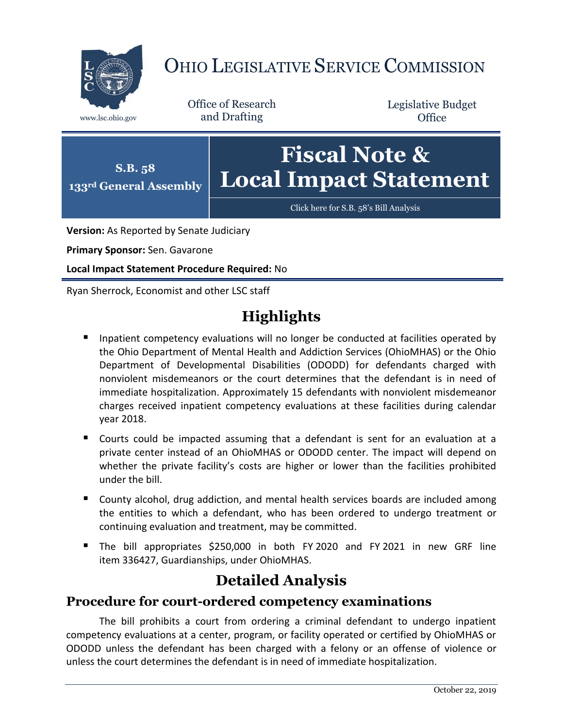

# OHIO LEGISLATIVE SERVICE COMMISSION

Office of Research www.lsc.ohio.gov and Drafting

Legislative Budget **Office** 



**Version:** As Reported by Senate Judiciary

**Primary Sponsor:** Sen. Gavarone

**Local Impact Statement Procedure Required:** No

Ryan Sherrock, Economist and other LSC staff

## **Highlights**

- **Inpatient competency evaluations will no longer be conducted at facilities operated by** the Ohio Department of Mental Health and Addiction Services (OhioMHAS) or the Ohio Department of Developmental Disabilities (ODODD) for defendants charged with nonviolent misdemeanors or the court determines that the defendant is in need of immediate hospitalization. Approximately 15 defendants with nonviolent misdemeanor charges received inpatient competency evaluations at these facilities during calendar year 2018.
- Courts could be impacted assuming that a defendant is sent for an evaluation at a private center instead of an OhioMHAS or ODODD center. The impact will depend on whether the private facility's costs are higher or lower than the facilities prohibited under the bill.
- County alcohol, drug addiction, and mental health services boards are included among the entities to which a defendant, who has been ordered to undergo treatment or continuing evaluation and treatment, may be committed.
- The bill appropriates \$250,000 in both FY 2020 and FY 2021 in new GRF line item 336427, Guardianships, under OhioMHAS.

### **Detailed Analysis**

#### **Procedure for court-ordered competency examinations**

The bill prohibits a court from ordering a criminal defendant to undergo inpatient competency evaluations at a center, program, or facility operated or certified by OhioMHAS or ODODD unless the defendant has been charged with a felony or an offense of violence or unless the court determines the defendant is in need of immediate hospitalization.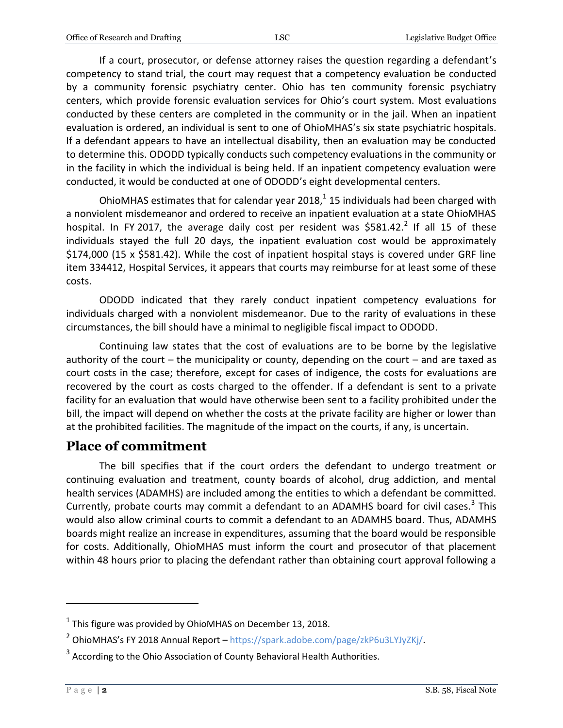If a court, prosecutor, or defense attorney raises the question regarding a defendant's competency to stand trial, the court may request that a competency evaluation be conducted by a community forensic psychiatry center. Ohio has ten community forensic psychiatry centers, which provide forensic evaluation services for Ohio's court system. Most evaluations conducted by these centers are completed in the community or in the jail. When an inpatient evaluation is ordered, an individual is sent to one of OhioMHAS's six state psychiatric hospitals. If a defendant appears to have an intellectual disability, then an evaluation may be conducted to determine this. ODODD typically conducts such competency evaluations in the community or in the facility in which the individual is being held. If an inpatient competency evaluation were conducted, it would be conducted at one of ODODD's eight developmental centers.

OhioMHAS estimates that for calendar year 2018, $^{1}$  15 individuals had been charged with a nonviolent misdemeanor and ordered to receive an inpatient evaluation at a state OhioMHAS hospital. In FY 2017, the average daily cost per resident was \$581.42.<sup>2</sup> If all 15 of these individuals stayed the full 20 days, the inpatient evaluation cost would be approximately \$174,000 (15 x \$581.42). While the cost of inpatient hospital stays is covered under GRF line item 334412, Hospital Services, it appears that courts may reimburse for at least some of these costs.

ODODD indicated that they rarely conduct inpatient competency evaluations for individuals charged with a nonviolent misdemeanor. Due to the rarity of evaluations in these circumstances, the bill should have a minimal to negligible fiscal impact to ODODD.

Continuing law states that the cost of evaluations are to be borne by the legislative authority of the court – the municipality or county, depending on the court – and are taxed as court costs in the case; therefore, except for cases of indigence, the costs for evaluations are recovered by the court as costs charged to the offender. If a defendant is sent to a private facility for an evaluation that would have otherwise been sent to a facility prohibited under the bill, the impact will depend on whether the costs at the private facility are higher or lower than at the prohibited facilities. The magnitude of the impact on the courts, if any, is uncertain.

#### **Place of commitment**

The bill specifies that if the court orders the defendant to undergo treatment or continuing evaluation and treatment, county boards of alcohol, drug addiction, and mental health services (ADAMHS) are included among the entities to which a defendant be committed. Currently, probate courts may commit a defendant to an ADAMHS board for civil cases.<sup>3</sup> This would also allow criminal courts to commit a defendant to an ADAMHS board. Thus, ADAMHS boards might realize an increase in expenditures, assuming that the board would be responsible for costs. Additionally, OhioMHAS must inform the court and prosecutor of that placement within 48 hours prior to placing the defendant rather than obtaining court approval following a

 $\overline{a}$ 

 $^1$  This figure was provided by OhioMHAS on December 13, 2018.

<sup>&</sup>lt;sup>2</sup> OhioMHAS's FY 2018 Annual Report – [https://spark.adobe.com/page/zkP6u3LYJyZKj/.](https://spark.adobe.com/page/zkP6u3LYJyZKj/)

 $3$  According to the Ohio Association of County Behavioral Health Authorities.